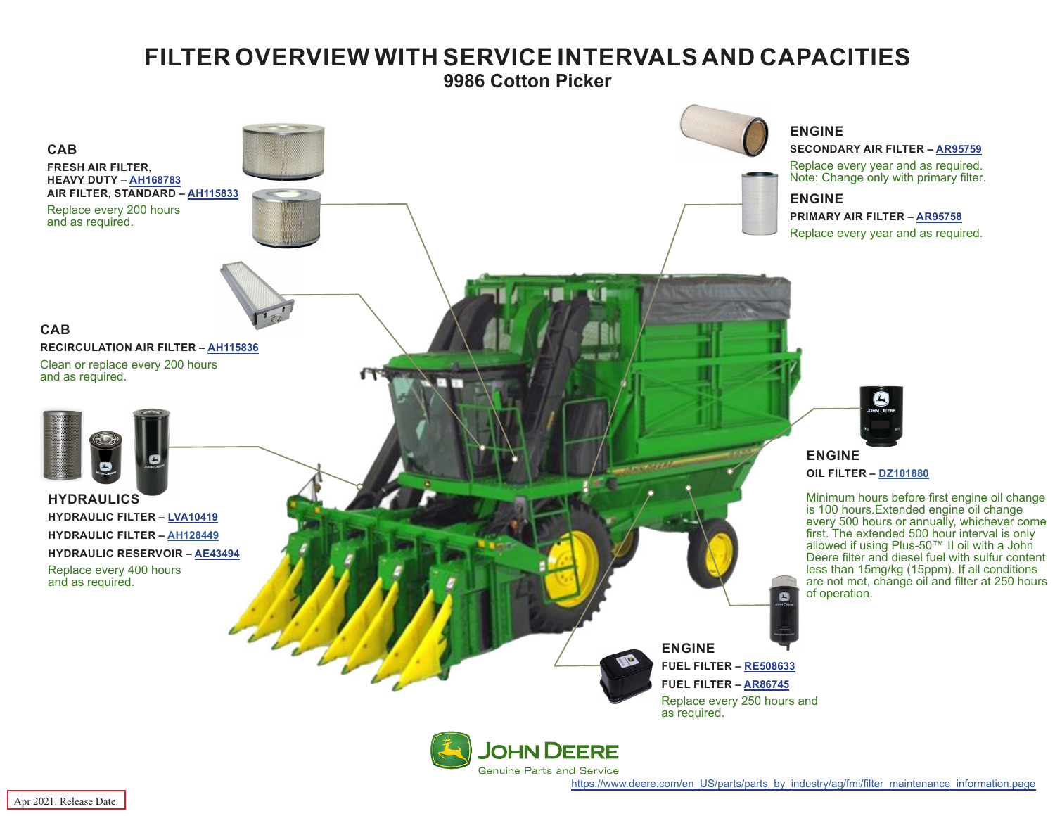## **FILTER OVERVIEW WITH SERVICE INTERVALS AND CAPACITIES**

**9986 Cotton Picker**

<span id="page-0-0"></span>

[https://www.deere.com/en\\_US/parts/parts\\_by\\_industry/ag/fmi/filter\\_maintenance\\_information.page](https://www.deere.com/en_US/parts/parts_by_industry/ag/fmi/filter_maintenance_information.page)